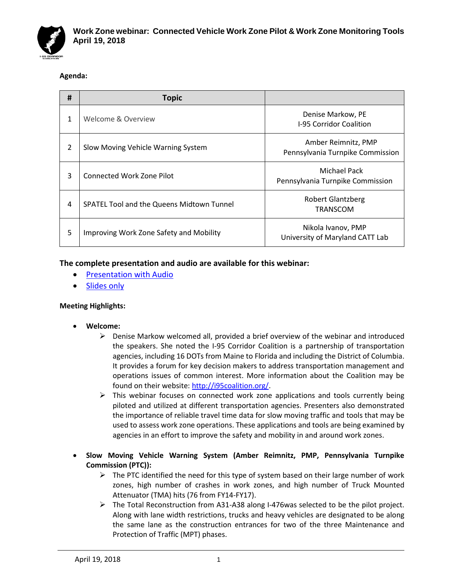

# **Agenda:**

| # | <b>Topic</b>                                     |                                                         |
|---|--------------------------------------------------|---------------------------------------------------------|
| 1 | Welcome & Overview                               | Denise Markow, PE<br>I-95 Corridor Coalition            |
| 2 | Slow Moving Vehicle Warning System               | Amber Reimnitz, PMP<br>Pennsylvania Turnpike Commission |
| 3 | <b>Connected Work Zone Pilot</b>                 | Michael Pack<br>Pennsylvania Turnpike Commission        |
| 4 | <b>SPATEL Tool and the Queens Midtown Tunnel</b> | <b>Robert Glantzberg</b><br><b>TRANSCOM</b>             |
| 5 | Improving Work Zone Safety and Mobility          | Nikola Ivanov, PMP<br>University of Maryland CATT Lab   |

# **The complete presentation and audio are available for this webinar:**

- **[Presentation](https://youtu.be/9LQRNtlu2d4) with Audio**
- **[Slides only](http://i95coalition.org/wp-content/uploads/2018/04/1-I-95CC-WZ_Webinar-TOTAL-final-post.pdf?x70560)**

### **Meeting Highlights:**

- **Welcome:**
	- $\triangleright$  Denise Markow welcomed all, provided a brief overview of the webinar and introduced the speakers. She noted the I-95 Corridor Coalition is a partnership of transportation agencies, including 16 DOTs from Maine to Florida and including the District of Columbia. It provides a forum for key decision makers to address transportation management and operations issues of common interest. More information about the Coalition may be found on their website: [http://i95coalition.org/.](http://i95coalition.org/)
	- ➢ This webinar focuses on connected work zone applications and tools currently being piloted and utilized at different transportation agencies. Presenters also demonstrated the importance of reliable travel time data for slow moving traffic and tools that may be used to assess work zone operations. These applications and tools are being examined by agencies in an effort to improve the safety and mobility in and around work zones.
- **Slow Moving Vehicle Warning System (Amber Reimnitz, PMP, Pennsylvania Turnpike Commission (PTC)):** 
	- ➢ The PTC identified the need for this type of system based on their large number of work zones, high number of crashes in work zones, and high number of Truck Mounted Attenuator (TMA) hits (76 from FY14-FY17).
	- ➢ The Total Reconstruction from A31-A38 along I-476was selected to be the pilot project. Along with lane width restrictions, trucks and heavy vehicles are designated to be along the same lane as the construction entrances for two of the three Maintenance and Protection of Traffic (MPT) phases.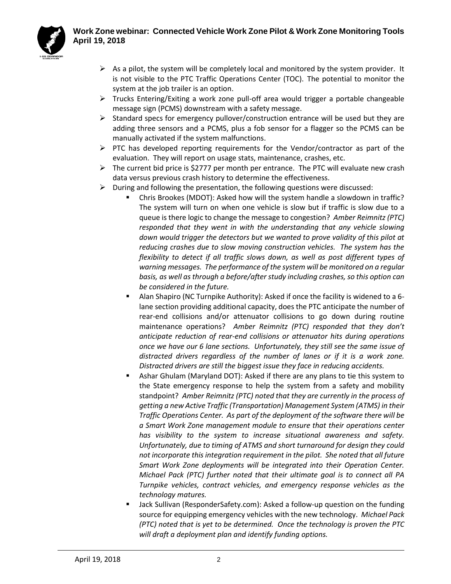# **Work Zone webinar: Connected Vehicle Work Zone Pilot & Work Zone Monitoring Tools April 19, 2018**



- $\triangleright$  As a pilot, the system will be completely local and monitored by the system provider. It is not visible to the PTC Traffic Operations Center (TOC). The potential to monitor the system at the job trailer is an option.
- ➢ Trucks Entering/Exiting a work zone pull-off area would trigger a portable changeable message sign (PCMS) downstream with a safety message.
- $\triangleright$  Standard specs for emergency pullover/construction entrance will be used but they are adding three sensors and a PCMS, plus a fob sensor for a flagger so the PCMS can be manually activated if the system malfunctions.
- $\triangleright$  PTC has developed reporting requirements for the Vendor/contractor as part of the evaluation. They will report on usage stats, maintenance, crashes, etc.
- $\triangleright$  The current bid price is \$2777 per month per entrance. The PTC will evaluate new crash data versus previous crash history to determine the effectiveness.
- $\triangleright$  During and following the presentation, the following questions were discussed:
	- Chris Brookes (MDOT): Asked how will the system handle a slowdown in traffic? The system will turn on when one vehicle is slow but if traffic is slow due to a queue is there logic to change the message to congestion? *Amber Reimnitz (PTC) responded that they went in with the understanding that any vehicle slowing down would trigger the detectors but we wanted to prove validity of this pilot at reducing crashes due to slow moving construction vehicles. The system has the flexibility to detect if all traffic slows down, as well as post different types of warning messages. The performance of the system will be monitored on a regular basis, as well as through a before/after study including crashes, so this option can be considered in the future.*
	- Alan Shapiro (NC Turnpike Authority): Asked if once the facility is widened to a 6lane section providing additional capacity, does the PTC anticipate the number of rear-end collisions and/or attenuator collisions to go down during routine maintenance operations? *Amber Reimnitz (PTC) responded that they don't anticipate reduction of rear-end collisions or attenuator hits during operations once we have our 6 lane sections. Unfortunately, they still see the same issue of distracted drivers regardless of the number of lanes or if it is a work zone. Distracted drivers are still the biggest issue they face in reducing accidents.*
	- Ashar Ghulam (Maryland DOT): Asked if there are any plans to tie this system to the State emergency response to help the system from a safety and mobility standpoint? *Amber Reimnitz (PTC) noted that they are currently in the process of getting a new Active Traffic (Transportation) Management System (ATMS) in their Traffic Operations Center. As part of the deployment of the software there will be a Smart Work Zone management module to ensure that their operations center has visibility to the system to increase situational awareness and safety. Unfortunately, due to timing of ATMS and short turnaround for design they could not incorporate this integration requirement in the pilot. She noted that all future Smart Work Zone deployments will be integrated into their Operation Center. Michael Pack (PTC) further noted that their ultimate goal is to connect all PA Turnpike vehicles, contract vehicles, and emergency response vehicles as the technology matures.*
	- Jack Sullivan (ResponderSafety.com): Asked a follow-up question on the funding source for equipping emergency vehicles with the new technology. *Michael Pack (PTC) noted that is yet to be determined. Once the technology is proven the PTC will draft a deployment plan and identify funding options.*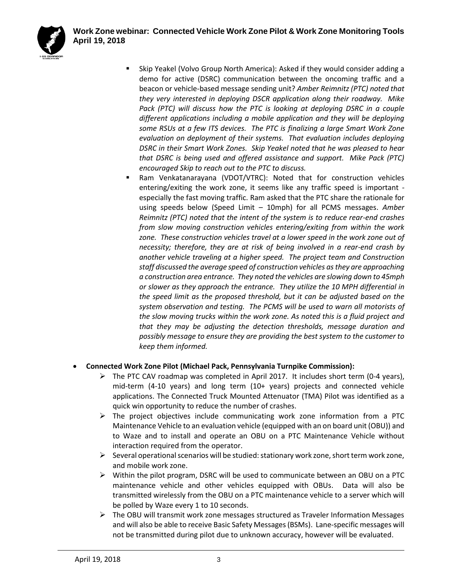

- Skip Yeakel (Volvo Group North America): Asked if they would consider adding a demo for active (DSRC) communication between the oncoming traffic and a beacon or vehicle-based message sending unit? *Amber Reimnitz (PTC) noted that they very interested in deploying DSCR application along their roadway. Mike Pack (PTC) will discuss how the PTC is looking at deploying DSRC in a couple different applications including a mobile application and they will be deploying some RSUs at a few ITS devices. The PTC is finalizing a large Smart Work Zone evaluation on deployment of their systems. That evaluation includes deploying DSRC in their Smart Work Zones. Skip Yeakel noted that he was pleased to hear that DSRC is being used and offered assistance and support. Mike Pack (PTC) encouraged Skip to reach out to the PTC to discuss.*
- Ram Venkatanarayana (VDOT/VTRC): Noted that for construction vehicles entering/exiting the work zone, it seems like any traffic speed is important especially the fast moving traffic. Ram asked that the PTC share the rationale for using speeds below (Speed Limit – 10mph) for all PCMS messages. *Amber Reimnitz (PTC) noted that the intent of the system is to reduce rear-end crashes from slow moving construction vehicles entering/exiting from within the work zone. These construction vehicles travel at a lower speed in the work zone out of necessity; therefore, they are at risk of being involved in a rear-end crash by another vehicle traveling at a higher speed. The project team and Construction staff discussed the average speed of construction vehicles as they are approaching a construction area entrance. They noted the vehicles are slowing down to 45mph or slower as they approach the entrance. They utilize the 10 MPH differential in the speed limit as the proposed threshold, but it can be adjusted based on the system observation and testing. The PCMS will be used to warn all motorists of the slow moving trucks within the work zone. As noted this is a fluid project and that they may be adjusting the detection thresholds, message duration and possibly message to ensure they are providing the best system to the customer to keep them informed.*

# • **Connected Work Zone Pilot (Michael Pack, Pennsylvania Turnpike Commission):**

- $\triangleright$  The PTC CAV roadmap was completed in April 2017. It includes short term (0-4 years), mid-term (4-10 years) and long term (10+ years) projects and connected vehicle applications. The Connected Truck Mounted Attenuator (TMA) Pilot was identified as a quick win opportunity to reduce the number of crashes.
- $\triangleright$  The project objectives include communicating work zone information from a PTC Maintenance Vehicle to an evaluation vehicle (equipped with an on board unit (OBU)) and to Waze and to install and operate an OBU on a PTC Maintenance Vehicle without interaction required from the operator.
- $\triangleright$  Several operational scenarios will be studied: stationary work zone, short term work zone, and mobile work zone.
- $\triangleright$  Within the pilot program, DSRC will be used to communicate between an OBU on a PTC maintenance vehicle and other vehicles equipped with OBUs. Data will also be transmitted wirelessly from the OBU on a PTC maintenance vehicle to a server which will be polled by Waze every 1 to 10 seconds.
- ➢ The OBU will transmit work zone messages structured as Traveler Information Messages and will also be able to receive Basic Safety Messages (BSMs). Lane-specific messages will not be transmitted during pilot due to unknown accuracy, however will be evaluated.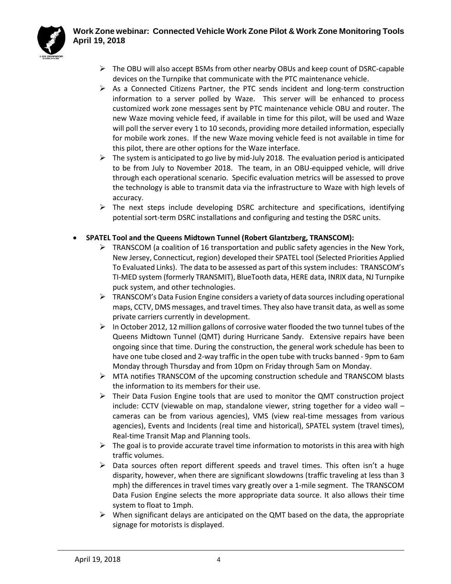

- 
- $\triangleright$  The OBU will also accept BSMs from other nearby OBUs and keep count of DSRC-capable devices on the Turnpike that communicate with the PTC maintenance vehicle.
- $\triangleright$  As a Connected Citizens Partner, the PTC sends incident and long-term construction information to a server polled by Waze. This server will be enhanced to process customized work zone messages sent by PTC maintenance vehicle OBU and router. The new Waze moving vehicle feed, if available in time for this pilot, will be used and Waze will poll the server every 1 to 10 seconds, providing more detailed information, especially for mobile work zones. If the new Waze moving vehicle feed is not available in time for this pilot, there are other options for the Waze interface.
- $\triangleright$  The system is anticipated to go live by mid-July 2018. The evaluation period is anticipated to be from July to November 2018. The team, in an OBU-equipped vehicle, will drive through each operational scenario. Specific evaluation metrics will be assessed to prove the technology is able to transmit data via the infrastructure to Waze with high levels of accuracy.
- $\triangleright$  The next steps include developing DSRC architecture and specifications, identifying potential sort-term DSRC installations and configuring and testing the DSRC units.

# • **SPATEL Tool and the Queens Midtown Tunnel (Robert Glantzberg, TRANSCOM):**

- $\triangleright$  TRANSCOM (a coalition of 16 transportation and public safety agencies in the New York, New Jersey, Connecticut, region) developed their SPATEL tool (Selected Priorities Applied To Evaluated Links). The data to be assessed as part of this system includes: TRANSCOM's TI-MED system (formerly TRANSMIT), BlueTooth data, HERE data, INRIX data, NJ Turnpike puck system, and other technologies.
- $\triangleright$  TRANSCOM's Data Fusion Engine considers a variety of data sources including operational maps, CCTV, DMS messages, and travel times. They also have transit data, as well as some private carriers currently in development.
- $\triangleright$  In October 2012, 12 million gallons of corrosive water flooded the two tunnel tubes of the Queens Midtown Tunnel (QMT) during Hurricane Sandy. Extensive repairs have been ongoing since that time. During the construction, the general work schedule has been to have one tube closed and 2-way traffic in the open tube with trucks banned - 9pm to 6am Monday through Thursday and from 10pm on Friday through 5am on Monday.
- ➢ MTA notifies TRANSCOM of the upcoming construction schedule and TRANSCOM blasts the information to its members for their use.
- $\triangleright$  Their Data Fusion Engine tools that are used to monitor the QMT construction project include: CCTV (viewable on map, standalone viewer, string together for a video wall – cameras can be from various agencies), VMS (view real-time messages from various agencies), Events and Incidents (real time and historical), SPATEL system (travel times), Real-time Transit Map and Planning tools.
- $\triangleright$  The goal is to provide accurate travel time information to motorists in this area with high traffic volumes.
- $\triangleright$  Data sources often report different speeds and travel times. This often isn't a huge disparity, however, when there are significant slowdowns (traffic traveling at less than 3 mph) the differences in travel times vary greatly over a 1-mile segment. The TRANSCOM Data Fusion Engine selects the more appropriate data source. It also allows their time system to float to 1mph.
- $\triangleright$  When significant delays are anticipated on the QMT based on the data, the appropriate signage for motorists is displayed.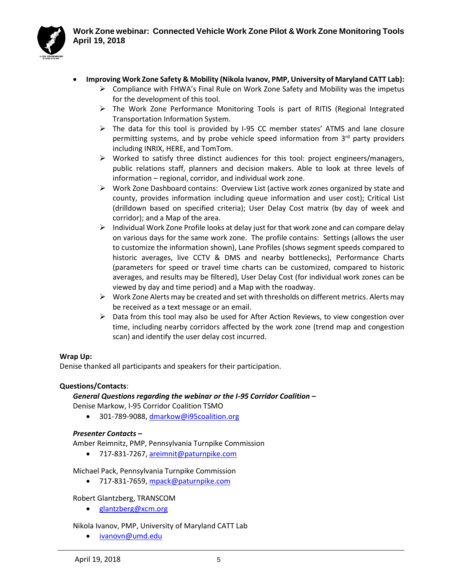

- **Improving Work Zone Safety & Mobility (Nikola Ivanov, PMP, University of Maryland CATT Lab):** 
	- $\triangleright$  Compliance with FHWA's Final Rule on Work Zone Safety and Mobility was the impetus for the development of this tool.
	- ➢ The Work Zone Performance Monitoring Tools is part of RITIS (Regional Integrated Transportation Information System.
	- $\triangleright$  The data for this tool is provided by I-95 CC member states' ATMS and lane closure permitting systems, and by probe vehicle speed information from 3<sup>rd</sup> party providers including INRIX, HERE, and TomTom.
	- $\triangleright$  Worked to satisfy three distinct audiences for this tool: project engineers/managers, public relations staff, planners and decision makers. Able to look at three levels of information – regional, corridor, and individual work zone.
	- $\triangleright$  Work Zone Dashboard contains: Overview List (active work zones organized by state and county, provides information including queue information and user cost); Critical List (drilldown based on specified criteria); User Delay Cost matrix (by day of week and corridor); and a Map of the area.
	- $\triangleright$  Individual Work Zone Profile looks at delay just for that work zone and can compare delay on various days for the same work zone. The profile contains: Settings (allows the user to customize the information shown), Lane Profiles (shows segment speeds compared to historic averages, live CCTV & DMS and nearby bottlenecks), Performance Charts (parameters for speed or travel time charts can be customized, compared to historic averages, and results may be filtered), User Delay Cost (for individual work zones can be viewed by day and time period) and a Map with the roadway.
	- $\triangleright$  Work Zone Alerts may be created and set with thresholds on different metrics. Alerts may be received as a text message or an email.
	- $\triangleright$  Data from this tool may also be used for After Action Reviews, to view congestion over time, including nearby corridors affected by the work zone (trend map and congestion scan) and identify the user delay cost incurred.

#### **Wrap Up:**

Denise thanked all participants and speakers for their participation.

### **Questions/Contacts**:

#### *General Questions regarding the webinar or the I-95 Corridor Coalition –*

Denise Markow, I-95 Corridor Coalition TSMO

• 301-789-9088[, dmarkow@i95coalition.org](mailto:dmarkow@i95coalition.org)

#### *Presenter Contacts –*

Amber Reimnitz, PMP, Pennsylvania Turnpike Commission

• 717-831-7267[, areimnit@paturnpike.com](mailto:areimnit@paturnpike.com)

### Michael Pack, Pennsylvania Turnpike Commission

• 717-831-7659[, mpack@paturnpike.com](mailto:mpack@paturnpike.com)

### Robert Glantzberg, TRANSCOM

• [glantzberg@xcm.org](mailto:glantzberg@xcm.org)

### Nikola Ivanov, PMP, University of Maryland CATT Lab

• [ivanovn@umd.edu](mailto:ivanovn@umd.edu)